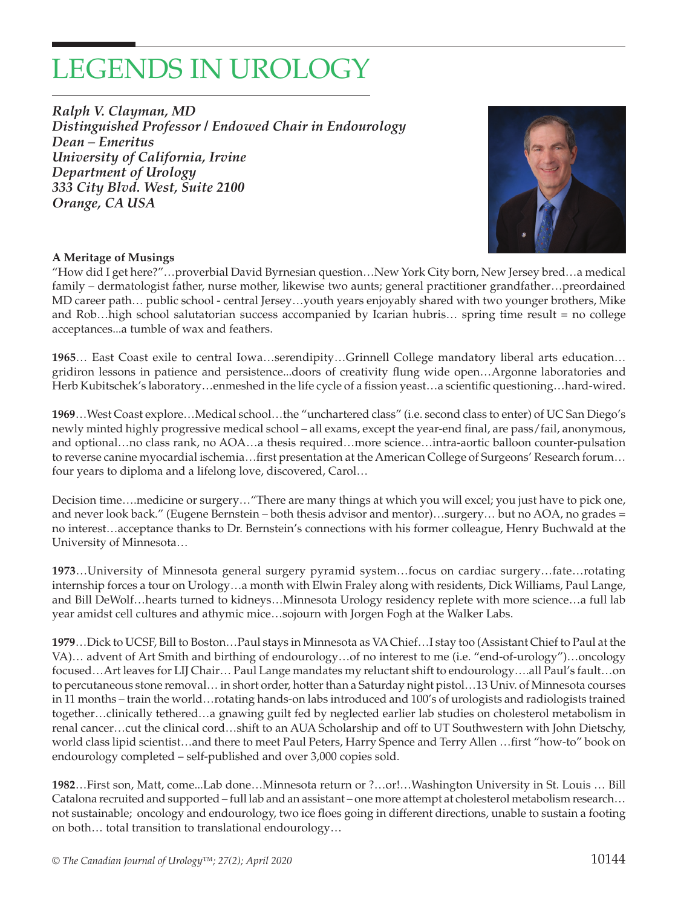## LEGENDS IN UROLOGY

*Ralph V. Clayman, MD Distinguished Professor / Endowed Chair in Endourology Dean – Emeritus University of California, Irvine Department of Urology 333 City Blvd. West, Suite 2100 Orange, CA USA*



## **A Meritage of Musings**

"How did I get here?"…proverbial David Byrnesian question…New York City born, New Jersey bred…a medical family – dermatologist father, nurse mother, likewise two aunts; general practitioner grandfather…preordained MD career path… public school - central Jersey…youth years enjoyably shared with two younger brothers, Mike and Rob…high school salutatorian success accompanied by Icarian hubris… spring time result = no college acceptances...a tumble of wax and feathers.

**1965**… East Coast exile to central Iowa…serendipity…Grinnell College mandatory liberal arts education… gridiron lessons in patience and persistence...doors of creativity flung wide open…Argonne laboratories and Herb Kubitschek's laboratory…enmeshed in the life cycle of a fission yeast…a scientific questioning…hard-wired.

**1969**…West Coast explore…Medical school…the "unchartered class" (i.e. second class to enter) of UC San Diego's newly minted highly progressive medical school – all exams, except the year-end final, are pass/fail, anonymous, and optional…no class rank, no AOA…a thesis required…more science…intra-aortic balloon counter-pulsation to reverse canine myocardial ischemia…first presentation at the American College of Surgeons' Research forum… four years to diploma and a lifelong love, discovered, Carol…

Decision time….medicine or surgery…"There are many things at which you will excel; you just have to pick one, and never look back." (Eugene Bernstein – both thesis advisor and mentor)…surgery… but no AOA, no grades = no interest…acceptance thanks to Dr. Bernstein's connections with his former colleague, Henry Buchwald at the University of Minnesota…

**1973**…University of Minnesota general surgery pyramid system…focus on cardiac surgery…fate…rotating internship forces a tour on Urology…a month with Elwin Fraley along with residents, Dick Williams, Paul Lange, and Bill DeWolf…hearts turned to kidneys…Minnesota Urology residency replete with more science…a full lab year amidst cell cultures and athymic mice…sojourn with Jorgen Fogh at the Walker Labs.

**1979**…Dick to UCSF, Bill to Boston…Paul stays in Minnesota as VA Chief…I stay too (Assistant Chief to Paul at the VA)… advent of Art Smith and birthing of endourology…of no interest to me (i.e. "end-of-urology")…oncology focused…Art leaves for LIJ Chair… Paul Lange mandates my reluctant shift to endourology….all Paul's fault…on to percutaneous stone removal… in short order, hotter than a Saturday night pistol…13 Univ. of Minnesota courses in 11 months – train the world…rotating hands-on labs introduced and 100's of urologists and radiologists trained together…clinically tethered…a gnawing guilt fed by neglected earlier lab studies on cholesterol metabolism in renal cancer…cut the clinical cord…shift to an AUA Scholarship and off to UT Southwestern with John Dietschy, world class lipid scientist…and there to meet Paul Peters, Harry Spence and Terry Allen …first "how-to" book on endourology completed – self-published and over 3,000 copies sold.

**1982**…First son, Matt, come...Lab done…Minnesota return or ?…or!…Washington University in St. Louis … Bill Catalona recruited and supported – full lab and an assistant – one more attempt at cholesterol metabolism research… not sustainable; oncology and endourology, two ice floes going in different directions, unable to sustain a footing on both… total transition to translational endourology…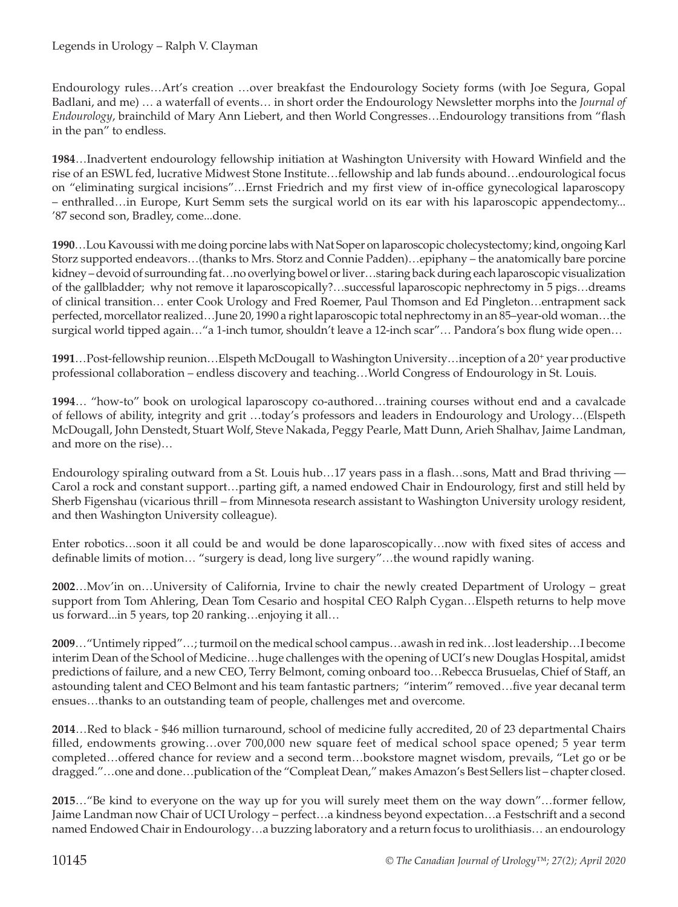Endourology rules…Art's creation …over breakfast the Endourology Society forms (with Joe Segura, Gopal Badlani, and me) … a waterfall of events… in short order the Endourology Newsletter morphs into the *Journal of Endourology*, brainchild of Mary Ann Liebert, and then World Congresses…Endourology transitions from "flash in the pan" to endless.

**1984**…Inadvertent endourology fellowship initiation at Washington University with Howard Winfield and the rise of an ESWL fed, lucrative Midwest Stone Institute…fellowship and lab funds abound…endourological focus on "eliminating surgical incisions"…Ernst Friedrich and my first view of in-office gynecological laparoscopy – enthralled…in Europe, Kurt Semm sets the surgical world on its ear with his laparoscopic appendectomy... '87 second son, Bradley, come...done.

**1990**…Lou Kavoussi with me doing porcine labs with Nat Soper on laparoscopic cholecystectomy; kind, ongoing Karl Storz supported endeavors…(thanks to Mrs. Storz and Connie Padden)…epiphany – the anatomically bare porcine kidney – devoid of surrounding fat…no overlying bowel or liver…staring back during each laparoscopic visualization of the gallbladder; why not remove it laparoscopically?…successful laparoscopic nephrectomy in 5 pigs…dreams of clinical transition… enter Cook Urology and Fred Roemer, Paul Thomson and Ed Pingleton…entrapment sack perfected, morcellator realized…June 20, 1990 a right laparoscopic total nephrectomy in an 85–year-old woman…the surgical world tipped again…"a 1-inch tumor, shouldn't leave a 12-inch scar"… Pandora's box flung wide open…

**1991**…Post-fellowship reunion…Elspeth McDougall to Washington University…inception of a 20+ year productive professional collaboration – endless discovery and teaching…World Congress of Endourology in St. Louis.

**1994**… "how-to" book on urological laparoscopy co-authored…training courses without end and a cavalcade of fellows of ability, integrity and grit …today's professors and leaders in Endourology and Urology…(Elspeth McDougall, John Denstedt, Stuart Wolf, Steve Nakada, Peggy Pearle, Matt Dunn, Arieh Shalhav, Jaime Landman, and more on the rise)…

Endourology spiraling outward from a St. Louis hub…17 years pass in a flash…sons, Matt and Brad thriving — Carol a rock and constant support…parting gift, a named endowed Chair in Endourology, first and still held by Sherb Figenshau (vicarious thrill – from Minnesota research assistant to Washington University urology resident, and then Washington University colleague).

Enter robotics…soon it all could be and would be done laparoscopically…now with fixed sites of access and definable limits of motion… "surgery is dead, long live surgery"…the wound rapidly waning.

**2002**…Mov'in on…University of California, Irvine to chair the newly created Department of Urology – great support from Tom Ahlering, Dean Tom Cesario and hospital CEO Ralph Cygan…Elspeth returns to help move us forward...in 5 years, top 20 ranking…enjoying it all…

**2009**…"Untimely ripped"…; turmoil on the medical school campus…awash in red ink…lost leadership…I become interim Dean of the School of Medicine…huge challenges with the opening of UCI's new Douglas Hospital, amidst predictions of failure, and a new CEO, Terry Belmont, coming onboard too…Rebecca Brusuelas, Chief of Staff, an astounding talent and CEO Belmont and his team fantastic partners; "interim" removed…five year decanal term ensues…thanks to an outstanding team of people, challenges met and overcome.

**2014**…Red to black - \$46 million turnaround, school of medicine fully accredited, 20 of 23 departmental Chairs filled, endowments growing…over 700,000 new square feet of medical school space opened; 5 year term completed…offered chance for review and a second term…bookstore magnet wisdom, prevails, "Let go or be dragged."…one and done…publication of the "Compleat Dean," makes Amazon's Best Sellers list – chapter closed.

**2015**…"Be kind to everyone on the way up for you will surely meet them on the way down"…former fellow, Jaime Landman now Chair of UCI Urology – perfect…a kindness beyond expectation…a Festschrift and a second named Endowed Chair in Endourology…a buzzing laboratory and a return focus to urolithiasis… an endourology